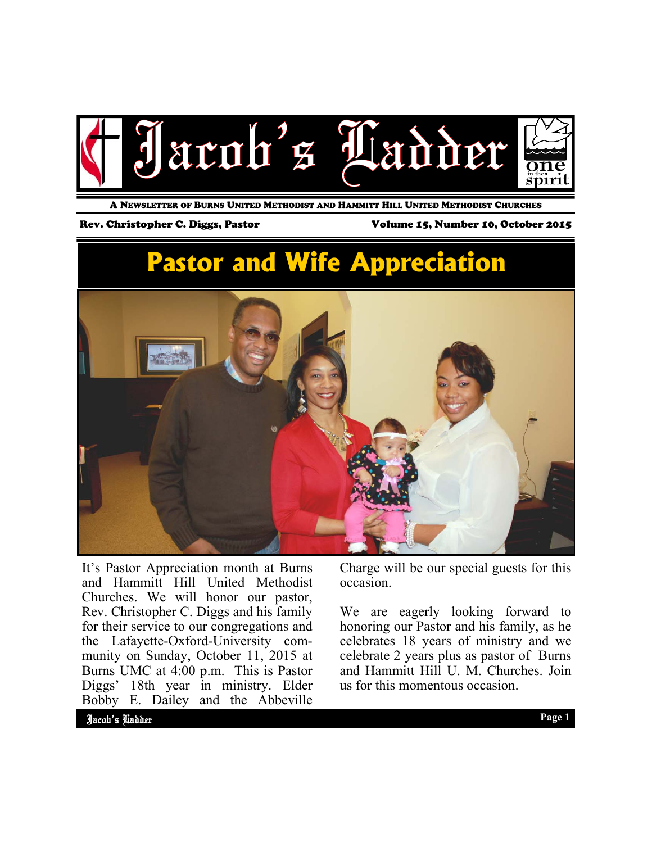

A NEWSLETTER OF BURNS UNITED METHODIST AND HAMMITT HILL UNITED METHODIST CHURCHES

Rev. Christopher C. Diggs, Pastor Volume 15, Number 10, October 2015

# **Pastor and Wife Appreciation**



It's Pastor Appreciation month at Burns and Hammitt Hill United Methodist Churches. We will honor our pastor, Rev. Christopher C. Diggs and his family for their service to our congregations and the Lafayette-Oxford-University community on Sunday, October 11, 2015 at Burns UMC at 4:00 p.m. This is Pastor Diggs' 18th year in ministry. Elder Bobby E. Dailey and the Abbeville

Charge will be our special guests for this occasion.

We are eagerly looking forward to honoring our Pastor and his family, as he celebrates 18 years of ministry and we celebrate 2 years plus as pastor of Burns and Hammitt Hill U. M. Churches. Join us for this momentous occasion.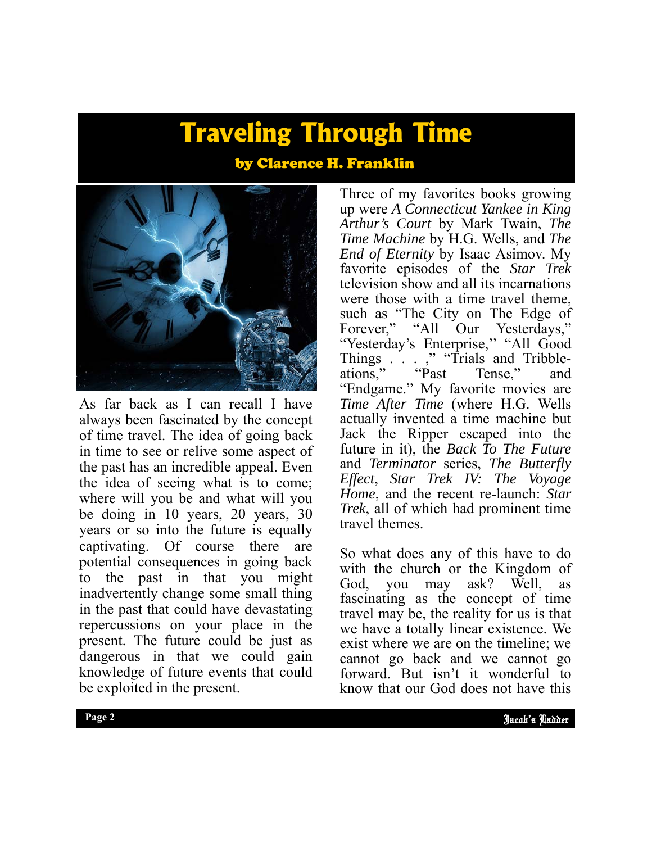# **Traveling Through Time**

### by Clarence H. Franklin



As far back as I can recall I have always been fascinated by the concept of time travel. The idea of going back in time to see or relive some aspect of the past has an incredible appeal. Even the idea of seeing what is to come; where will you be and what will you be doing in 10 years, 20 years, 30 years or so into the future is equally captivating. Of course there are potential consequences in going back to the past in that you might inadvertently change some small thing in the past that could have devastating repercussions on your place in the present. The future could be just as dangerous in that we could gain knowledge of future events that could be exploited in the present.

Three of my favorites books growing up were *A Connecticut Yankee in King Arthur's Court* by Mark Twain, *The Time Machine* by H.G. Wells, and *The End of Eternity* by Isaac Asimov. My favorite episodes of the *Star Trek*  television show and all its incarnations were those with a time travel theme, such as "The City on The Edge of Forever," "All Our Yesterdays," "Yesterday's Enterprise," "All Good Things . . . ," "Trials and Tribbleations," "Past Tense," and "Endgame." My favorite movies are *Time After Time* (where H.G. Wells actually invented a time machine but Jack the Ripper escaped into the future in it), the *Back To The Future*  and *Terminator* series, *The Butterfly Effect*, *Star Trek IV: The Voyage Home*, and the recent re-launch: *Star Trek*, all of which had prominent time travel themes.

cannot go back and we cannot go So what does any of this have to do with the church or the Kingdom of God, you may ask? Well, as God, you may ask? Well, as fascinating as the concept of time travel may be, the reality for us is that we have a totally linear existence. We exist where we are on the timeline; we forward. But isn't it wonderful to know that our God does not have this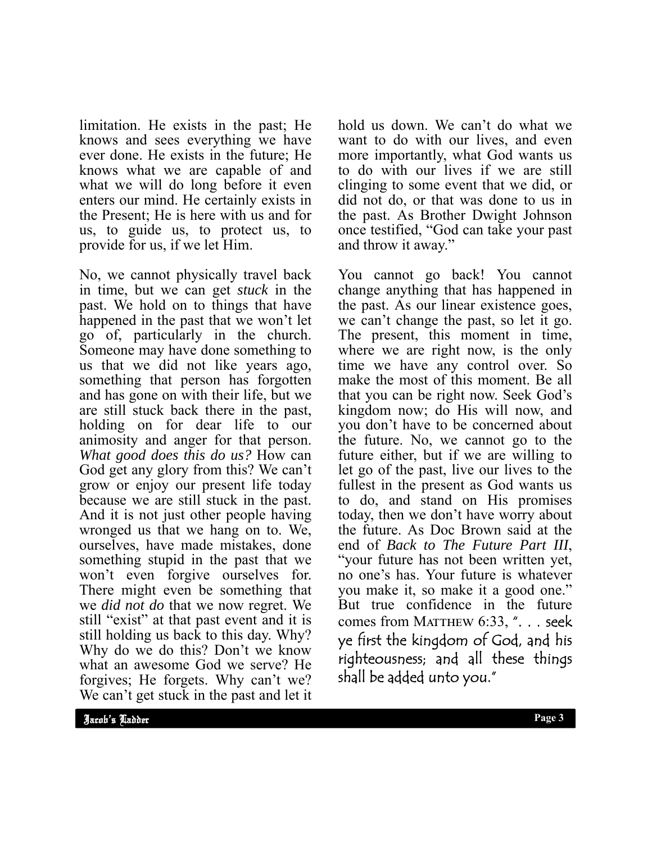limitation. He exists in the past; He knows and sees everything we have ever done. He exists in the future; He knows what we are capable of and what we will do long before it even enters our mind. He certainly exists in the Present; He is here with us and for us, to guide us, to protect us, to provide for us, if we let Him.

No, we cannot physically travel back in time, but we can get *stuck* in the past. We hold on to things that have happened in the past that we won't let go of, particularly in the church. Someone may have done something to us that we did not like years ago, something that person has forgotten and has gone on with their life, but we are still stuck back there in the past, holding on for dear life to our animosity and anger for that person. *What good does this do us?* How can God get any glory from this? We can't grow or enjoy our present life today because we are still stuck in the past. And it is not just other people having wronged us that we hang on to. We, ourselves, have made mistakes, done something stupid in the past that we won't even forgive ourselves for. There might even be something that we *did not do* that we now regret. We still "exist" at that past event and it is still holding us back to this day. Why? Why do we do this? Don't we know what an awesome God we serve? He forgives; He forgets. Why can't we? We can't get stuck in the past and let it hold us down. We can't do what we want to do with our lives, and even more importantly, what God wants us to do with our lives if we are still clinging to some event that we did, or did not do, or that was done to us in the past. As Brother Dwight Johnson once testified, "God can take your past and throw it away."

You cannot go back! You cannot change anything that has happened in the past. As our linear existence goes, we can't change the past, so let it go. The present, this moment in time, where we are right now, is the only time we have any control over. So make the most of this moment. Be all that you can be right now. Seek God's kingdom now; do His will now, and you don't have to be concerned about the future. No, we cannot go to the future either, but if we are willing to let go of the past, live our lives to the fullest in the present as God wants us to do, and stand on His promises today, then we don't have worry about the future. As Doc Brown said at the end of *Back to The Future Part III*, "your future has not been written yet, no one's has. Your future is whatever you make it, so make it a good one." But true confidence in the future comes from MATTHEW 6:33, ". . . seek ye first the kingdom of God, and his righteousness; and all these things shall be added unto you."